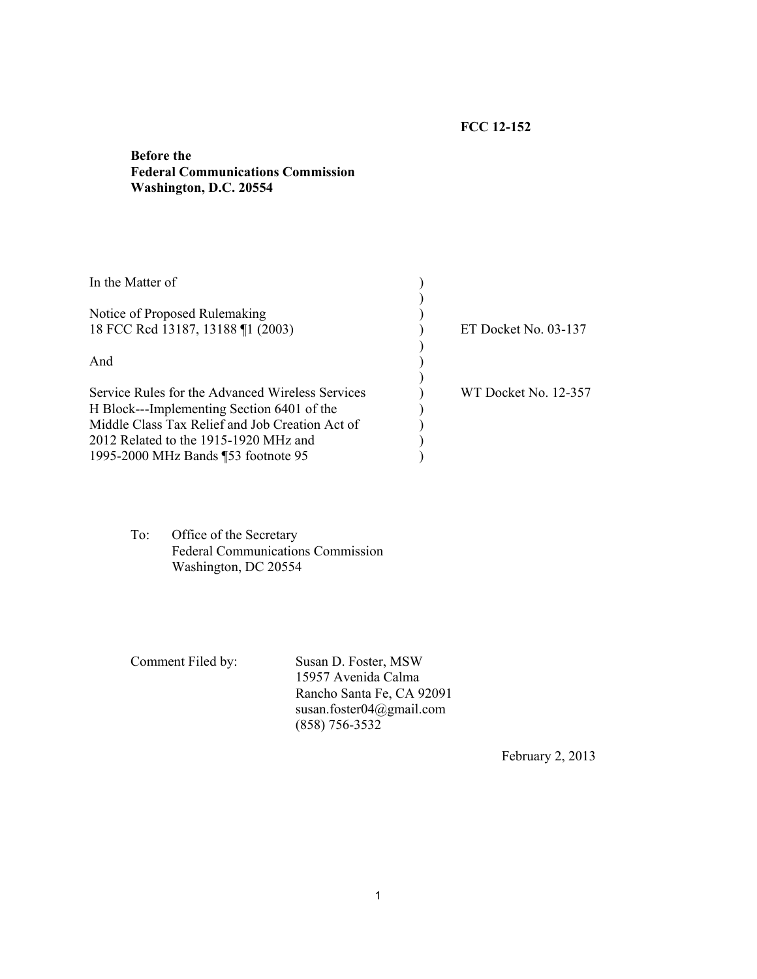## **FCC 12-152**

## **Before the Federal Communications Commission Washington, D.C. 20554**

| In the Matter of                                                                                                                                                                                                                  |                      |  |
|-----------------------------------------------------------------------------------------------------------------------------------------------------------------------------------------------------------------------------------|----------------------|--|
| Notice of Proposed Rulemaking<br>18 FCC Rcd 13187, 13188 ¶1 (2003)                                                                                                                                                                | ET Docket No. 03-137 |  |
| And                                                                                                                                                                                                                               |                      |  |
| Service Rules for the Advanced Wireless Services<br>H Block---Implementing Section 6401 of the<br>Middle Class Tax Relief and Job Creation Act of<br>2012 Related to the 1915-1920 MHz and<br>1995-2000 MHz Bands ¶53 footnote 95 | WT Docket No. 12-357 |  |

To: Office of the Secretary Federal Communications Commission Washington, DC 20554

Comment Filed by: Susan D. Foster, MSW 15957 Avenida Calma Rancho Santa Fe, CA 92091 susan.foster04@gmail.com (858) 756-3532

February 2, 2013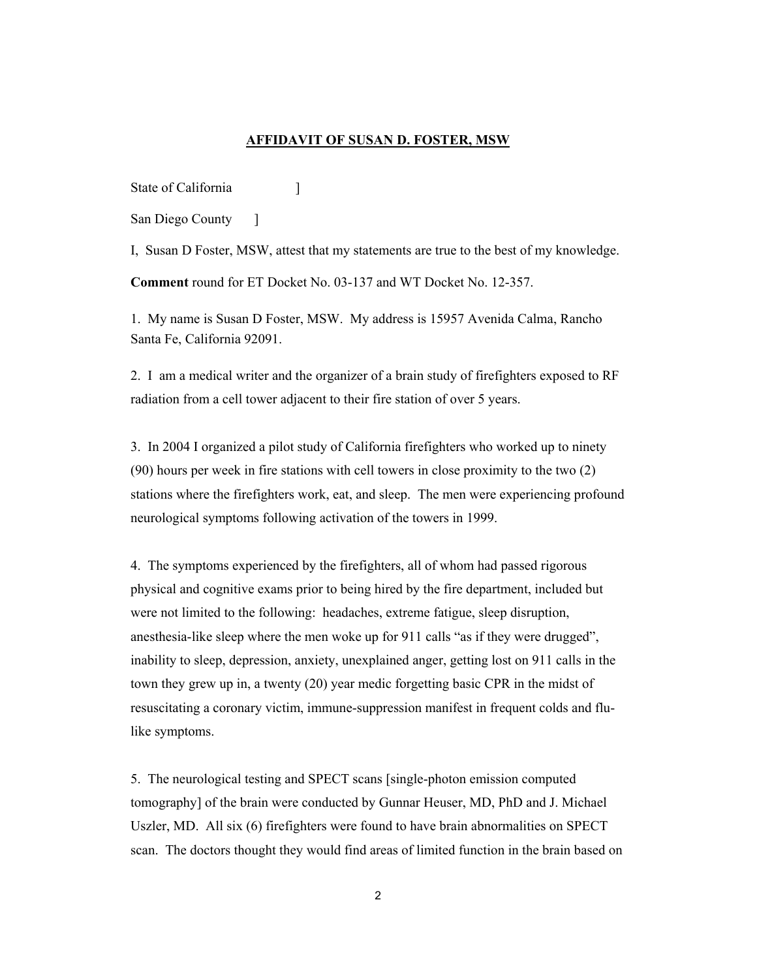## **AFFIDAVIT OF SUSAN D. FOSTER, MSW**

State of California [1984]

San Diego County — 1

I, Susan D Foster, MSW, attest that my statements are true to the best of my knowledge. **Comment** round for ET Docket No. 03-137 and WT Docket No. 12-357.

1. My name is Susan D Foster, MSW. My address is 15957 Avenida Calma, Rancho Santa Fe, California 92091.

2. I am a medical writer and the organizer of a brain study of firefighters exposed to RF radiation from a cell tower adjacent to their fire station of over 5 years.

3. In 2004 I organized a pilot study of California firefighters who worked up to ninety (90) hours per week in fire stations with cell towers in close proximity to the two (2) stations where the firefighters work, eat, and sleep. The men were experiencing profound neurological symptoms following activation of the towers in 1999.

4. The symptoms experienced by the firefighters, all of whom had passed rigorous physical and cognitive exams prior to being hired by the fire department, included but were not limited to the following: headaches, extreme fatigue, sleep disruption, anesthesia-like sleep where the men woke up for 911 calls "as if they were drugged", inability to sleep, depression, anxiety, unexplained anger, getting lost on 911 calls in the town they grew up in, a twenty (20) year medic forgetting basic CPR in the midst of resuscitating a coronary victim, immune-suppression manifest in frequent colds and flulike symptoms.

5. The neurological testing and SPECT scans [single-photon emission computed tomography] of the brain were conducted by Gunnar Heuser, MD, PhD and J. Michael Uszler, MD. All six (6) firefighters were found to have brain abnormalities on SPECT scan. The doctors thought they would find areas of limited function in the brain based on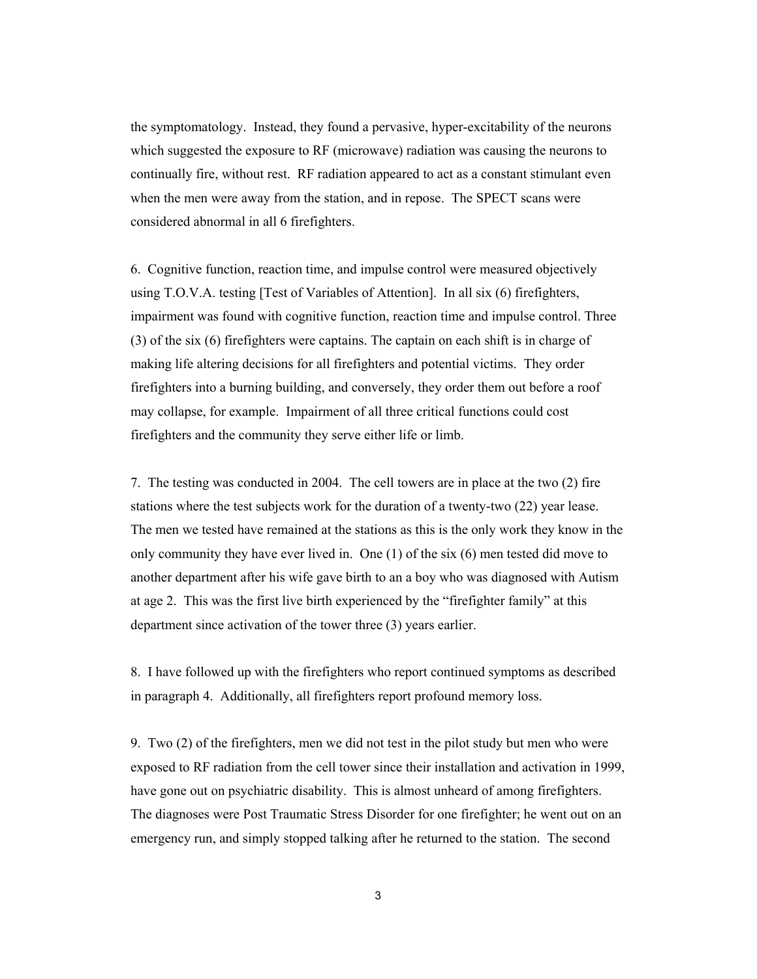the symptomatology. Instead, they found a pervasive, hyper-excitability of the neurons which suggested the exposure to RF (microwave) radiation was causing the neurons to continually fire, without rest. RF radiation appeared to act as a constant stimulant even when the men were away from the station, and in repose. The SPECT scans were considered abnormal in all 6 firefighters.

6. Cognitive function, reaction time, and impulse control were measured objectively using T.O.V.A. testing [Test of Variables of Attention]. In all six (6) firefighters, impairment was found with cognitive function, reaction time and impulse control. Three (3) of the six (6) firefighters were captains. The captain on each shift is in charge of making life altering decisions for all firefighters and potential victims. They order firefighters into a burning building, and conversely, they order them out before a roof may collapse, for example. Impairment of all three critical functions could cost firefighters and the community they serve either life or limb.

7. The testing was conducted in 2004. The cell towers are in place at the two (2) fire stations where the test subjects work for the duration of a twenty-two (22) year lease. The men we tested have remained at the stations as this is the only work they know in the only community they have ever lived in. One (1) of the six (6) men tested did move to another department after his wife gave birth to an a boy who was diagnosed with Autism at age 2. This was the first live birth experienced by the "firefighter family" at this department since activation of the tower three (3) years earlier.

8. I have followed up with the firefighters who report continued symptoms as described in paragraph 4. Additionally, all firefighters report profound memory loss.

9. Two (2) of the firefighters, men we did not test in the pilot study but men who were exposed to RF radiation from the cell tower since their installation and activation in 1999, have gone out on psychiatric disability. This is almost unheard of among firefighters. The diagnoses were Post Traumatic Stress Disorder for one firefighter; he went out on an emergency run, and simply stopped talking after he returned to the station. The second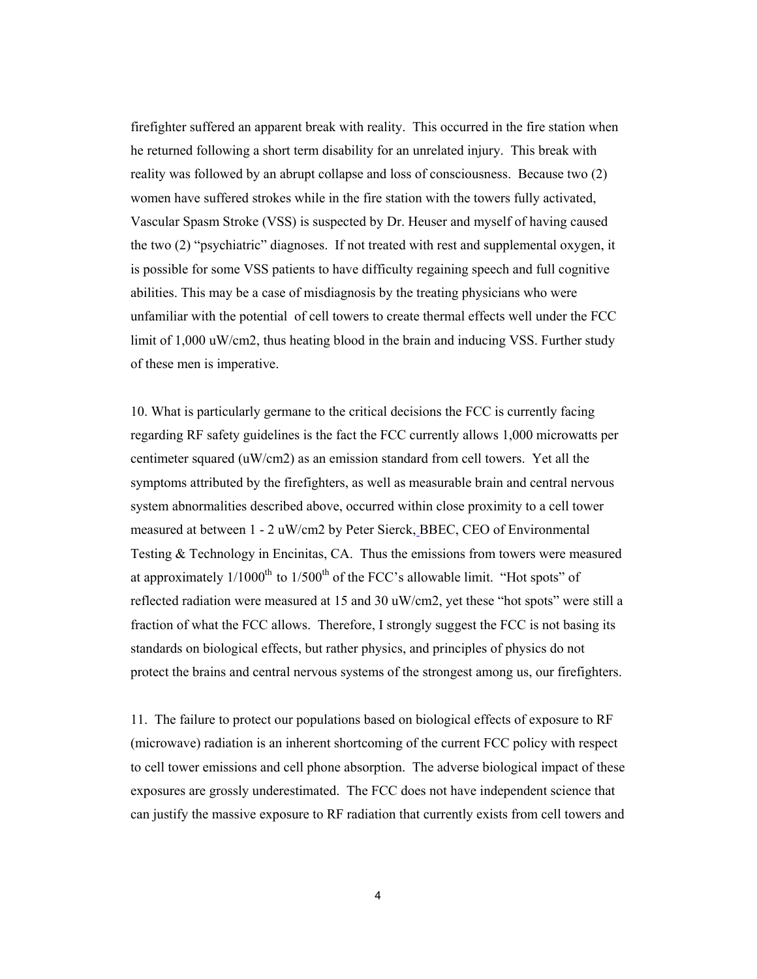firefighter suffered an apparent break with reality. This occurred in the fire station when he returned following a short term disability for an unrelated injury. This break with reality was followed by an abrupt collapse and loss of consciousness. Because two (2) women have suffered strokes while in the fire station with the towers fully activated, Vascular Spasm Stroke (VSS) is suspected by Dr. Heuser and myself of having caused the two (2) "psychiatric" diagnoses. If not treated with rest and supplemental oxygen, it is possible for some VSS patients to have difficulty regaining speech and full cognitive abilities. This may be a case of misdiagnosis by the treating physicians who were unfamiliar with the potential of cell towers to create thermal effects well under the FCC limit of 1,000 uW/cm2, thus heating blood in the brain and inducing VSS. Further study of these men is imperative.

10. What is particularly germane to the critical decisions the FCC is currently facing regarding RF safety guidelines is the fact the FCC currently allows 1,000 microwatts per centimeter squared (uW/cm2) as an emission standard from cell towers. Yet all the symptoms attributed by the firefighters, as well as measurable brain and central nervous system abnormalities described above, occurred within close proximity to a cell tower measured at between 1 - 2 uW/cm2 by Peter Sierck, BBEC, CEO of Environmental Testing & Technology in Encinitas, CA. Thus the emissions from towers were measured at approximately  $1/1000^{th}$  to  $1/500^{th}$  of the FCC's allowable limit. "Hot spots" of reflected radiation were measured at 15 and 30 uW/cm2, yet these "hot spots" were still a fraction of what the FCC allows. Therefore, I strongly suggest the FCC is not basing its standards on biological effects, but rather physics, and principles of physics do not protect the brains and central nervous systems of the strongest among us, our firefighters.

11. The failure to protect our populations based on biological effects of exposure to RF (microwave) radiation is an inherent shortcoming of the current FCC policy with respect to cell tower emissions and cell phone absorption. The adverse biological impact of these exposures are grossly underestimated. The FCC does not have independent science that can justify the massive exposure to RF radiation that currently exists from cell towers and